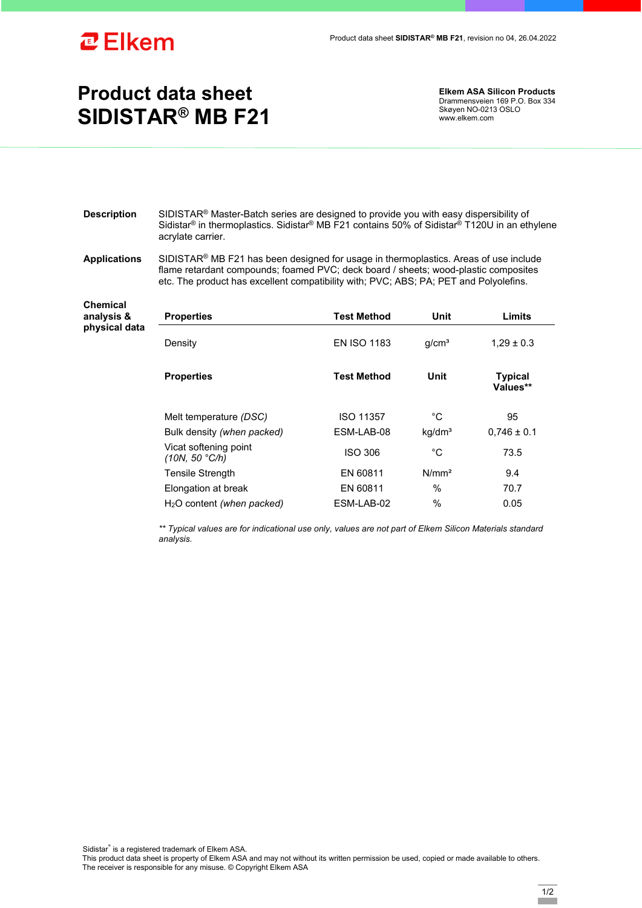

## **Product data sheet SIDISTAR® MB F21**

**Elkem ASA Silicon Products**  Drammensveien 169 P.O. Box 334 Skøyen NO-0213 OSLO www.elkem.com

**Description** SIDISTAR® Master-Batch series are designed to provide you with easy dispersibility of Sidistar® in thermoplastics. Sidistar® MB F21 contains 50% of Sidistar® T120U in an ethylene acrylate carrier.

**Applications** SIDISTAR® MB F21 has been designed for usage in thermoplastics. Areas of use include flame retardant compounds; foamed PVC; deck board / sheets; wood-plastic composites etc. The product has excellent compatibility with; PVC; ABS; PA; PET and Polyolefins.

**Chemical analysis & physical data Properties Test Method Unit Limits** Density EN ISO 1183  $g/cm<sup>3</sup>$  1,29 ± 0.3 **Properties Test Method** Unit Typical **Values\*\*** Melt temperature *(DSC)* ISO 11357 <sup>°</sup>C 95 Bulk density *(when packed)* ESM-LAB-08 kg/dm<sup>3</sup> 0,746 ± 0.1 Vicat softening point vical soliening point<br>(10N, 50 °C/h) **ISO 306** °C 73.5 Tensile Strength **EN 60811** N/mm<sup>2</sup> 9.4 Elongation at break EN 60811 % 70.7 H2O content *(when packed)* ESM-LAB-02 % 0.05

> *\*\* Typical values are for indicational use only, values are not part of Elkem Silicon Materials standard analysis.*

Sidistar® is a registered trademark of Elkem ASA.

This product data sheet is property of Elkem ASA and may not without its written permission be used, copied or made available to others. The receiver is responsible for any misuse. © Copyright Elkem ASA